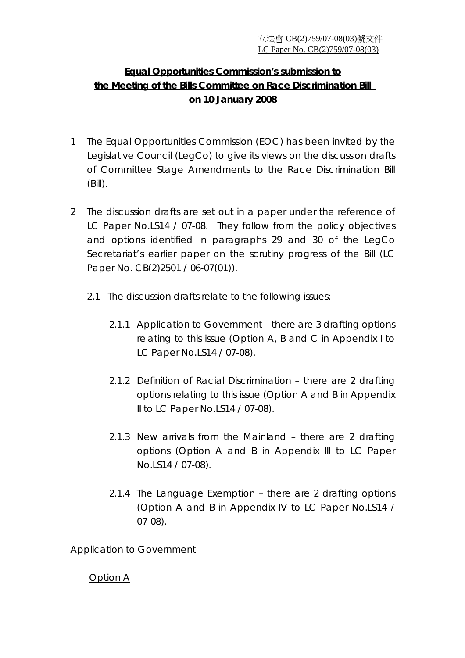# **Equal Opportunities Commission's submission to the Meeting of the Bills Committee on Race Discrimination Bill on 10 January 2008**

- 1 The Equal Opportunities Commission (EOC) has been invited by the Legislative Council (LegCo) to give its views on the discussion drafts of Committee Stage Amendments to the Race Discrimination Bill (Bill).
- 2 The discussion drafts are set out in a paper under the reference of LC Paper No.LS14 / 07-08. They follow from the policy objectives and options identified in paragraphs 29 and 30 of the LegCo Secretariat's earlier paper on the scrutiny progress of the Bill (LC Paper No. CB(2)2501 / 06-07(01)).
	- 2.1 The discussion drafts relate to the following issues:-
		- 2.1.1 Application to Government there are 3 drafting options relating to this issue (Option A, B and C in Appendix I to LC Paper No.LS14 / 07-08).
		- 2.1.2 Definition of Racial Discrimination there are 2 drafting options relating to this issue (Option A and B in Appendix II to LC Paper No.LS14 / 07-08).
		- 2.1.3 New arrivals from the Mainland there are 2 drafting options (Option A and B in Appendix III to LC Paper No.LS14 / 07-08).
		- 2.1.4 The Language Exemption there are 2 drafting options (Option A and B in Appendix IV to LC Paper No.LS14 / 07-08).

Application to Government

Option A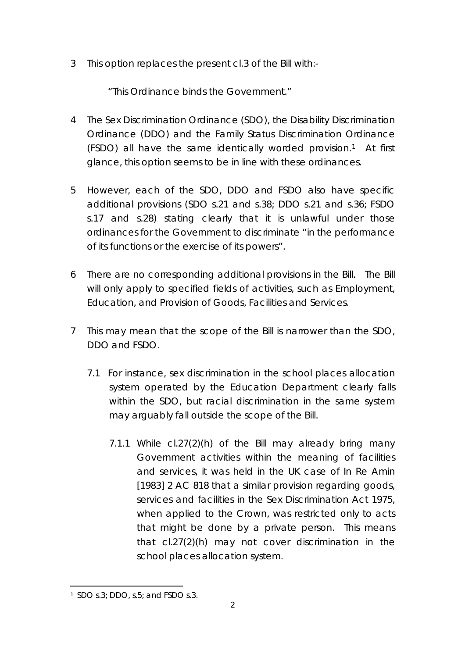3 This option replaces the present cl.3 of the Bill with:-

"*This Ordinance binds the Government.*"

- 4 The Sex Discrimination Ordinance (SDO), the Disability Discrimination Ordinance (DDO) and the Family Status Discrimination Ordinance (FSDO) all have the same identically worded provision.1 At first glance, this option seems to be in line with these ordinances.
- 5 However, each of the SDO, DDO and FSDO also have specific additional provisions (SDO s.21 and s.38; DDO s.21 and s.36; FSDO s.17 and s.28) stating clearly that it is unlawful under those ordinances for the Government to discriminate *"in the performance of its functions or the exercise of its powers"*.
- 6 There are no corresponding additional provisions in the Bill. The Bill will only apply to specified fields of activities, such as Employment, Education, and Provision of Goods, Facilities and Services.
- 7 This may mean that the scope of the Bill is narrower than the SDO, DDO and FSDO.
	- 7.1 For instance, sex discrimination in the school places allocation system operated by the Education Department clearly falls within the SDO, but racial discrimination in the same system may arguably fall outside the scope of the Bill.
		- 7.1.1 While cl.27(2)(h) of the Bill may already bring many Government activities within the meaning of facilities and services, it was held in the UK case of *In Re Amin* [1983] 2 AC 818 that a similar provision regarding goods, services and facilities in the Sex Discrimination Act 1975, when applied to the Crown, was restricted only to acts that might be done by a private person. This means that cl.27(2)(h) may not cover discrimination in the school places allocation system.

<sup>1</sup> SDO s.3; DDO, s.5; and FSDO s.3.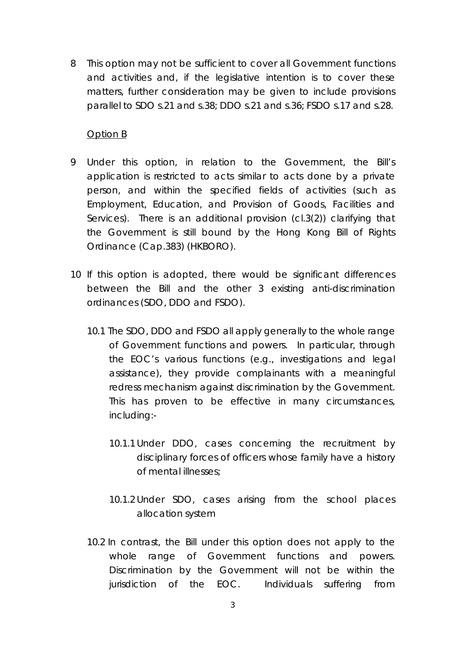8 This option may not be sufficient to cover all Government functions and activities and, if the legislative intention is to cover these matters, further consideration may be given to include provisions parallel to SDO s.21 and s.38; DDO s.21 and s.36; FSDO s.17 and s.28.

#### Option B

- 9 Under this option, in relation to the Government, the Bill's application is restricted to acts similar to acts done by a private person, and within the specified fields of activities (such as Employment, Education, and Provision of Goods, Facilities and Services). There is an additional provision (cl.3(2)) clarifying that the Government is still bound by the Hong Kong Bill of Rights Ordinance (Cap.383) (HKBORO).
- 10 If this option is adopted, there would be significant differences between the Bill and the other 3 existing anti-discrimination ordinances (SDO, DDO and FSDO).
	- 10.1 The SDO, DDO and FSDO all apply generally to the whole range of Government functions and powers. In particular, through the EOC's various functions (e.g., investigations and legal assistance), they provide complainants with a meaningful redress mechanism against discrimination by the Government. This has proven to be effective in many circumstances, including:-
		- 10.1.1 Under DDO, cases concerning the recruitment by disciplinary forces of officers whose family have a history of mental illnesses;
		- 10.1.2 Under SDO, cases arising from the school places allocation system
	- 10.2 In contrast, the Bill under this option does not apply to the whole range of Government functions and powers. Discrimination by the Government will not be within the jurisdiction of the EOC. Individuals suffering from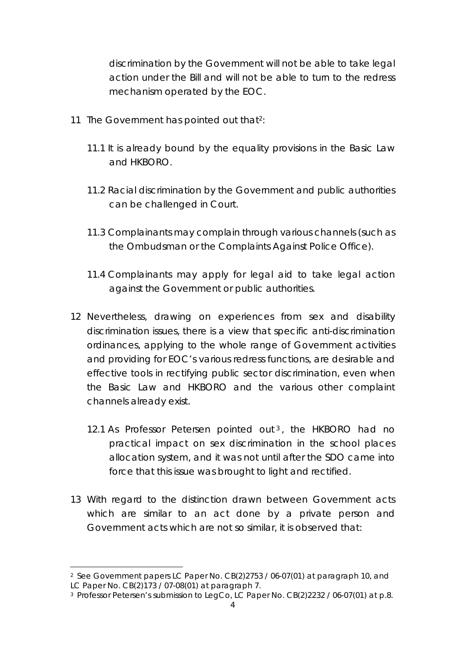discrimination by the Government will not be able to take legal action under the Bill and will not be able to turn to the redress mechanism operated by the EOC.

- 11 The Government has pointed out that<sup>2</sup>:
	- 11.1 It is already bound by the equality provisions in the Basic Law and HKBORO.
	- 11.2 Racial discrimination by the Government and public authorities can be challenged in Court.
	- 11.3 Complainants may complain through various channels (such as the Ombudsman or the Complaints Against Police Office).
	- 11.4 Complainants may apply for legal aid to take legal action against the Government or public authorities.
- 12 Nevertheless, drawing on experiences from sex and disability discrimination issues, there is a view that specific anti-discrimination ordinances, applying to the whole range of Government activities and providing for EOC's various redress functions, are desirable and effective tools in rectifying public sector discrimination, even when the Basic Law and HKBORO and the various other complaint channels already exist.
	- 12.1 As Professor Petersen pointed out<sup>3</sup>, the HKBORO had no practical impact on sex discrimination in the school places allocation system, and it was not until after the SDO came into force that this issue was brought to light and rectified.
- 13 With regard to the distinction drawn between Government acts which are similar to an act done by a private person and Government acts which are not so similar, it is observed that:

<sup>2</sup> See Government papers LC Paper No. CB(2)2753 / 06-07(01) at paragraph 10, and LC Paper No. CB(2)173 / 07-08(01) at paragraph 7.

<sup>3</sup> Professor Petersen's submission to LegCo, LC Paper No. CB(2)2232 / 06-07(01) at p.8.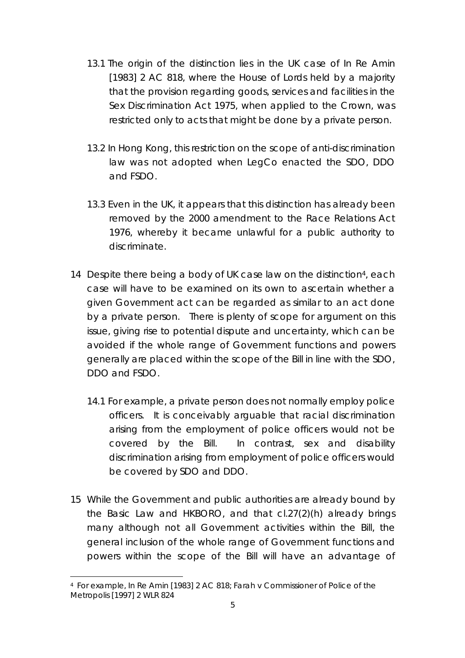- 13.1 The origin of the distinction lies in the UK case of *In Re Amin* [1983] 2 AC 818, where the House of Lords held by a majority that the provision regarding goods, services and facilities in the Sex Discrimination Act 1975, when applied to the Crown, was restricted only to acts that might be done by a private person.
- 13.2 In Hong Kong, this restriction on the scope of anti-discrimination law was not adopted when LegCo enacted the SDO, DDO and FSDO.
- 13.3 Even in the UK, it appears that this distinction has already been removed by the 2000 amendment to the Race Relations Act 1976, whereby it became unlawful for a public authority to discriminate.
- 14 Despite there being a body of UK case law on the distinction<sup>4</sup>, each case will have to be examined on its own to ascertain whether a given Government act can be regarded as similar to an act done by a private person. There is plenty of scope for argument on this issue, giving rise to potential dispute and uncertainty, which can be avoided if the whole range of Government functions and powers generally are placed within the scope of the Bill in line with the SDO, DDO and FSDO.
	- 14.1 For example, a private person does not normally employ police officers. It is conceivably arguable that racial discrimination arising from the employment of police officers would not be covered by the Bill. In contrast, sex and disability discrimination arising from employment of police officers would be covered by SDO and DDO.
- 15 While the Government and public authorities are already bound by the Basic Law and HKBORO, and that cl.27(2)(h) already brings many although not all Government activities within the Bill, the general inclusion of the whole range of Government functions and powers within the scope of the Bill will have an advantage of

<sup>4</sup> For example, *In Re Amin* [1983] 2 AC 818; *Farah v Commissioner of Police of the Metropolis* [1997] 2 WLR 824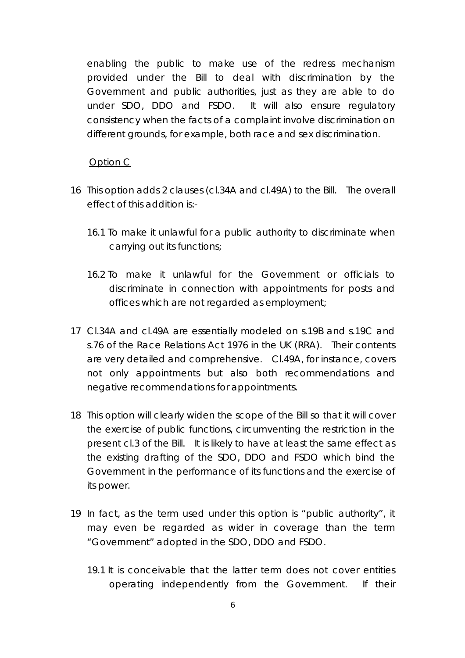enabling the public to make use of the redress mechanism provided under the Bill to deal with discrimination by the Government and public authorities, just as they are able to do under SDO, DDO and FSDO. It will also ensure regulatory consistency when the facts of a complaint involve discrimination on different grounds, for example, both race and sex discrimination.

Option C

- 16 This option adds 2 clauses (cl.34A and cl.49A) to the Bill. The overall effect of this addition is:-
	- 16.1 To make it unlawful for a public authority to discriminate when carrying out its functions;
	- 16.2 To make it unlawful for the Government or officials to discriminate in connection with appointments for posts and offices which are not regarded as employment;
- 17 Cl.34A and cl.49A are essentially modeled on s.19B and s.19C and s.76 of the Race Relations Act 1976 in the UK (RRA). Their contents are very detailed and comprehensive. Cl.49A, for instance, covers not only appointments but also both recommendations and negative recommendations for appointments.
- 18 This option will clearly widen the scope of the Bill so that it will cover the exercise of public functions, circumventing the restriction in the present cl.3 of the Bill. It is likely to have at least the same effect as the existing drafting of the SDO, DDO and FSDO which bind the Government in the performance of its functions and the exercise of its power.
- 19 In fact, as the term used under this option is *"public authority"*, it may even be regarded as wider in coverage than the term *"Government"* adopted in the SDO, DDO and FSDO.
	- 19.1 It is conceivable that the latter term does not cover entities operating independently from the Government. If their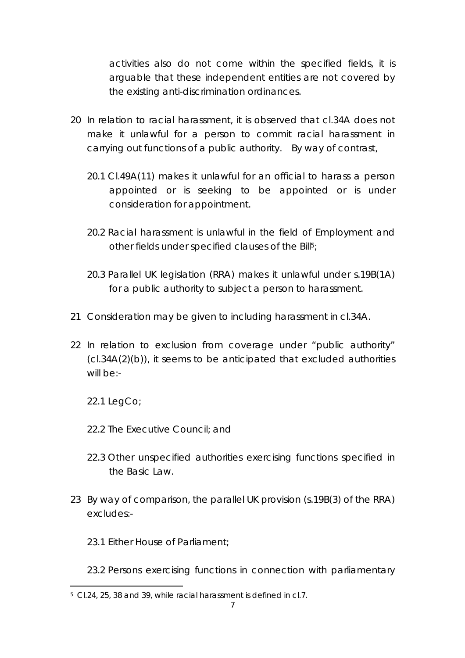activities also do not come within the specified fields, it is arguable that these independent entities are not covered by the existing anti-discrimination ordinances.

- 20 In relation to racial harassment, it is observed that cl.34A does not make it unlawful for a person to commit racial harassment in carrying out functions of a public authority. By way of contrast,
	- 20.1 Cl.49A(11) makes it unlawful for an official to harass a person appointed or is seeking to be appointed or is under consideration for appointment.
	- 20.2 Racial harassment is unlawful in the field of Employment and other fields under specified clauses of the Bill<sup>5</sup>;
	- 20.3 Parallel UK legislation (RRA) makes it unlawful under s.19B(1A) for a public authority to subject a person to harassment.
- 21 Consideration may be given to including harassment in cl.34A.
- 22 In relation to exclusion from coverage under *"public authority"*  (cl.34A(2)(b)), it seems to be anticipated that excluded authorities will be:-

22.1 LegCo;

- 22.2 The Executive Council; and
- 22.3 Other unspecified authorities exercising functions specified in the Basic Law.
- 23 By way of comparison, the parallel UK provision (s.19B(3) of the RRA) excludes:-
	- 23.1 Either House of Parliament;
	- 23.2 Persons exercising functions in connection with parliamentary

<sup>5</sup> Cl.24, 25, 38 and 39, while racial harassment is defined in cl.7.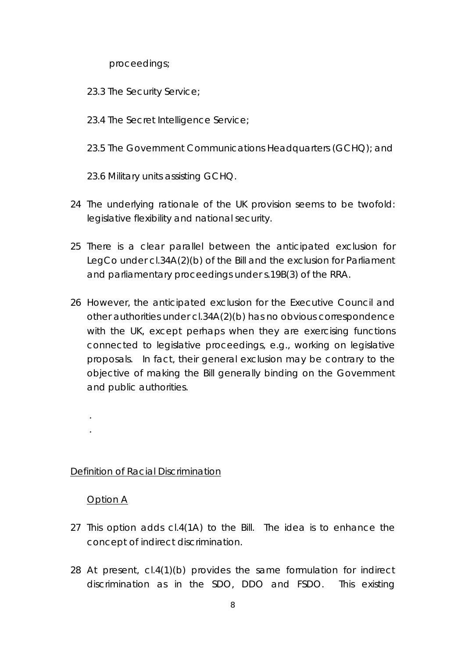proceedings;

- 23.3 The Security Service;
- 23.4 The Secret Intelligence Service;
- 23.5 The Government Communications Headquarters (GCHQ); and
- 23.6 Military units assisting GCHQ.
- 24 The underlying rationale of the UK provision seems to be twofold: legislative flexibility and national security.
- 25 There is a clear parallel between the anticipated exclusion for LegCo under cl.34A(2)(b) of the Bill and the exclusion for Parliament and parliamentary proceedings under s.19B(3) of the RRA.
- 26 However, the anticipated exclusion for the Executive Council and other authorities under cl.34A(2)(b) has no obvious correspondence with the UK, except perhaps when they are exercising functions connected to legislative proceedings, e.g., working on legislative proposals. In fact, their general exclusion may be contrary to the objective of making the Bill generally binding on the Government and public authorities.

## Definition of Racial Discrimination

#### Option A

. .

- 27 This option adds cl.4(1A) to the Bill. The idea is to enhance the concept of indirect discrimination.
- 28 At present, cl.4(1)(b) provides the same formulation for indirect discrimination as in the SDO, DDO and FSDO. This existing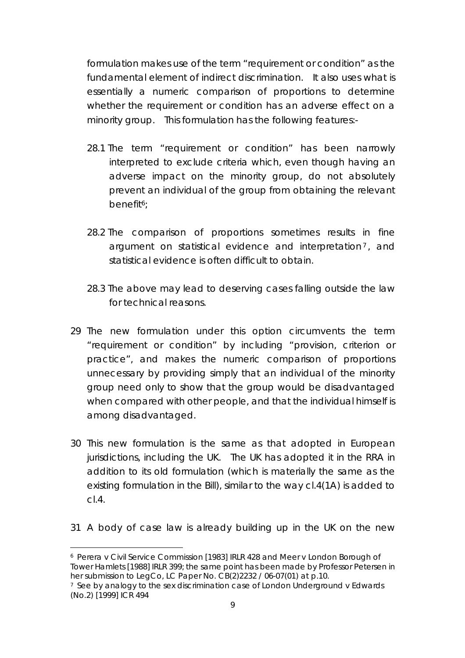formulation makes use of the term "requirement or condition" as the fundamental element of indirect discrimination. It also uses what is essentially a numeric comparison of proportions to determine whether the requirement or condition has an adverse effect on a minority group. This formulation has the following features:-

- 28.1 The term "requirement or condition" has been narrowly interpreted to exclude criteria which, even though having an adverse impact on the minority group, do not absolutely prevent an individual of the group from obtaining the relevant benefit6;
- 28.2 The comparison of proportions sometimes results in fine argument on statistical evidence and interpretation<sup>7</sup>, and statistical evidence is often difficult to obtain.
- 28.3 The above may lead to deserving cases falling outside the law for technical reasons.
- 29 The new formulation under this option circumvents the term "requirement or condition" by including "provision, criterion or practice", and makes the numeric comparison of proportions unnecessary by providing simply that an individual of the minority group need only to show that the group would be disadvantaged when compared with other people, and that the individual himself is among disadvantaged.
- 30 This new formulation is the same as that adopted in European jurisdictions, including the UK. The UK has adopted it in the RRA in addition to its old formulation (which is materially the same as the existing formulation in the Bill), similar to the way cl.4(1A) is added to cl.4.
- 31 A body of case law is already building up in the UK on the new

l

<sup>6</sup> *Perera v Civil Service Commission* [1983] IRLR 428 and *Meer v London Borough of Tower Hamlets* [1988] IRLR 399; the same point has been made by Professor Petersen in her submission to LegCo, LC Paper No. CB(2)2232 / 06-07(01) at p.10.

<sup>7</sup> See by analogy to the sex discrimination case of *London Underground v Edwards* (No.2) [1999] ICR 494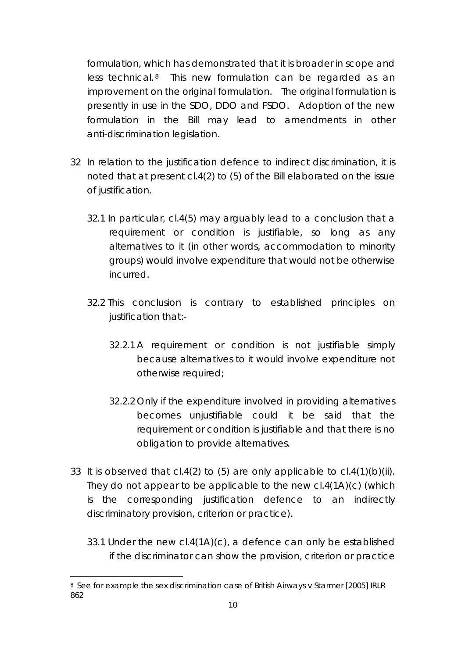formulation, which has demonstrated that it is broader in scope and less technical.<sup>8</sup> This new formulation can be regarded as an improvement on the original formulation. The original formulation is presently in use in the SDO, DDO and FSDO. Adoption of the new formulation in the Bill may lead to amendments in other anti-discrimination legislation.

- 32 In relation to the justification defence to indirect discrimination, it is noted that at present cl.4(2) to (5) of the Bill elaborated on the issue of justification.
	- 32.1 In particular, cl.4(5) may arguably lead to a conclusion that a requirement or condition is justifiable, so long as any alternatives to it (in other words, accommodation to minority groups) would involve expenditure that would not be otherwise incurred.
	- 32.2 This conclusion is contrary to established principles on justification that:-
		- 32.2.1 A requirement or condition is not justifiable simply because alternatives to it would involve expenditure not otherwise required;
		- 32.2.2 Only if the expenditure involved in providing alternatives becomes unjustifiable could it be said that the requirement or condition is justifiable and that there is no obligation to provide alternatives.
- 33 It is observed that cl.4(2) to (5) are only applicable to cl.4(1)(b)(ii). They do not appear to be applicable to the new cl.4(1A)(c) (which is the corresponding justification defence to an indirectly discriminatory provision, criterion or practice).
	- 33.1 Under the new cl.4(1A)(c), a defence can only be established if the discriminator can show the provision, criterion or practice

<sup>8</sup> See for example the sex discrimination case of *British Airways v Starmer* [2005] IRLR 862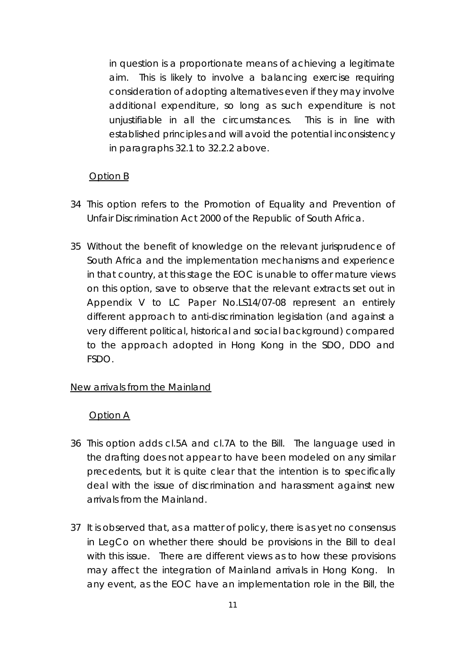in question is a proportionate means of achieving a legitimate aim. This is likely to involve a balancing exercise requiring consideration of adopting alternatives even if they may involve additional expenditure, so long as such expenditure is not unjustifiable in all the circumstances. This is in line with established principles and will avoid the potential inconsistency in paragraphs 32.1 to 32.2.2 above.

## Option B

- 34 This option refers to the Promotion of Equality and Prevention of Unfair Discrimination Act 2000 of the Republic of South Africa.
- 35 Without the benefit of knowledge on the relevant jurisprudence of South Africa and the implementation mechanisms and experience in that country, at this stage the EOC is unable to offer mature views on this option, save to observe that the relevant extracts set out in Appendix V to LC Paper No.LS14/07-08 represent an entirely different approach to anti-discrimination legislation (and against a very different political, historical and social background) compared to the approach adopted in Hong Kong in the SDO, DDO and FSDO.

## New arrivals from the Mainland

## Option A

- 36 This option adds cl.5A and cl.7A to the Bill. The language used in the drafting does not appear to have been modeled on any similar precedents, but it is quite clear that the intention is to specifically deal with the issue of discrimination and harassment against new arrivals from the Mainland.
- 37 It is observed that, as a matter of policy, there is as yet no consensus in LegCo on whether there should be provisions in the Bill to deal with this issue. There are different views as to how these provisions may affect the integration of Mainland arrivals in Hong Kong. In any event, as the EOC have an implementation role in the Bill, the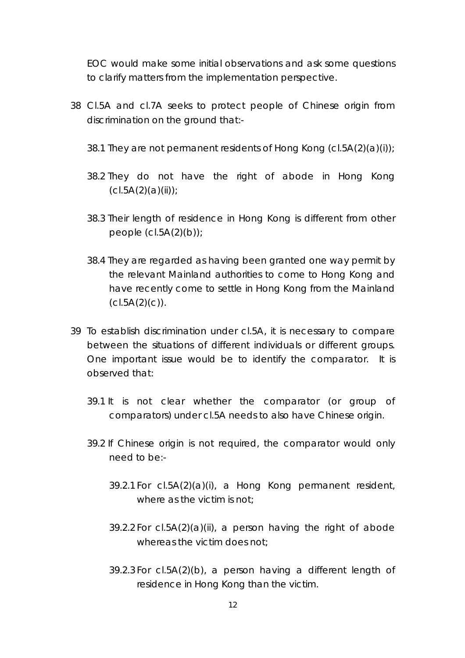EOC would make some initial observations and ask some questions to clarify matters from the implementation perspective.

- 38 Cl.5A and cl.7A seeks to protect people of Chinese origin from discrimination on the ground that:-
	- 38.1 They are not permanent residents of Hong Kong  $(cl.5A(2)(a)(i))$ ;
	- 38.2 They do not have the right of abode in Hong Kong  $(cl.5A(2)(a)(ii))$ ;
	- 38.3 Their length of residence in Hong Kong is different from other people  $(cl.5A(2)(b))$ ;
	- 38.4 They are regarded as having been granted one way permit by the relevant Mainland authorities to come to Hong Kong and have recently come to settle in Hong Kong from the Mainland  $(cl.5A(2)(c))$ .
- 39 To establish discrimination under cl.5A, it is necessary to compare between the situations of different individuals or different groups. One important issue would be to identify the comparator. It is observed that:
	- 39.1 It is not clear whether the comparator (or group of comparators) under cl.5A needs to also have Chinese origin.
	- 39.2 If Chinese origin is not required, the comparator would only need to be:-
		- 39.2.1 For cl.5A(2)(a)(i), a Hong Kong permanent resident, where as the victim is not;
		- 39.2.2 For cl.5A(2)(a)(ii), a person having the right of abode whereas the victim does not;
		- 39.2.3 For cl.5A(2)(b), a person having a different length of residence in Hong Kong than the victim.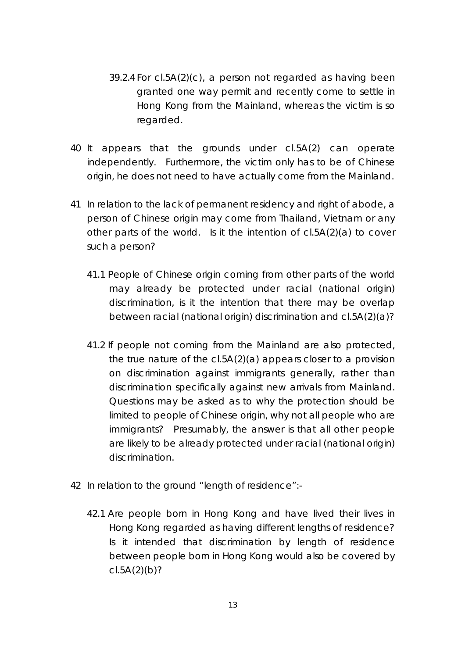- 39.2.4 For cl.5A(2)(c), a person not regarded as having been granted one way permit and recently come to settle in Hong Kong from the Mainland, whereas the victim is so regarded.
- 40 It appears that the grounds under cl.5A(2) can operate independently. Furthermore, the victim only has to be of Chinese origin, he does not need to have actually come from the Mainland.
- 41 In relation to the lack of permanent residency and right of abode, a person of Chinese origin may come from Thailand, Vietnam or any other parts of the world. Is it the intention of cl.5A(2)(a) to cover such a person?
	- 41.1 People of Chinese origin coming from other parts of the world may already be protected under racial (national origin) discrimination, is it the intention that there may be overlap between racial (national origin) discrimination and cl.5A(2)(a)?
	- 41.2 If people not coming from the Mainland are also protected, the true nature of the cl.5A(2)(a) appears closer to a provision on discrimination against immigrants generally, rather than discrimination specifically against new arrivals from Mainland. Questions may be asked as to why the protection should be limited to people of Chinese origin, why not all people who are immigrants? Presumably, the answer is that all other people are likely to be already protected under racial (national origin) discrimination.
- 42 In relation to the ground "length of residence":-
	- 42.1 Are people born in Hong Kong and have lived their lives in Hong Kong regarded as having different lengths of residence? Is it intended that discrimination by length of residence between people born in Hong Kong would also be covered by  $cl.5A(2)(b)?$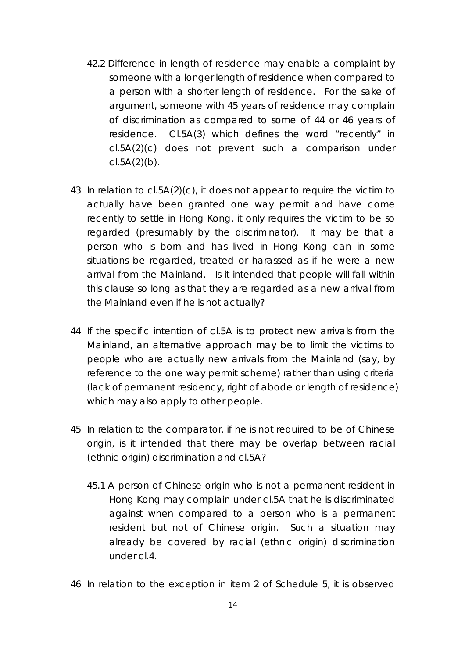- 42.2 Difference in length of residence may enable a complaint by someone with a longer length of residence when compared to a person with a shorter length of residence. For the sake of argument, someone with 45 years of residence may complain of discrimination as compared to some of 44 or 46 years of residence. Cl.5A(3) which defines the word "recently" in cl.5A(2)(c) does not prevent such a comparison under  $c1.5A(2)(b)$ .
- 43 In relation to cl.5A(2)(c), it does not appear to require the victim to actually have been granted one way permit and have come recently to settle in Hong Kong, it only requires the victim to be so regarded (presumably by the discriminator). It may be that a person who is born and has lived in Hong Kong can in some situations be regarded, treated or harassed as if he were a new arrival from the Mainland. Is it intended that people will fall within this clause so long as that they are regarded as a new arrival from the Mainland even if he is not actually?
- 44 If the specific intention of cl.5A is to protect new arrivals from the Mainland, an alternative approach may be to limit the victims to people who are actually new arrivals from the Mainland (say, by reference to the one way permit scheme) rather than using criteria (lack of permanent residency, right of abode or length of residence) which may also apply to other people.
- 45 In relation to the comparator, if he is not required to be of Chinese origin, is it intended that there may be overlap between racial (ethnic origin) discrimination and cl.5A?
	- 45.1 A person of Chinese origin who is not a permanent resident in Hong Kong may complain under cl.5A that he is discriminated against when compared to a person who is a permanent resident but not of Chinese origin. Such a situation may already be covered by racial (ethnic origin) discrimination under cl.4.

46 In relation to the exception in item 2 of Schedule 5, it is observed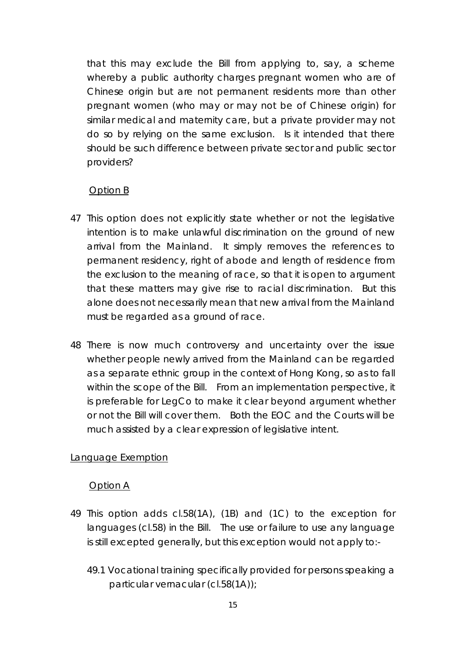that this may exclude the Bill from applying to, say, a scheme whereby a public authority charges pregnant women who are of Chinese origin but are not permanent residents more than other pregnant women (who may or may not be of Chinese origin) for similar medical and maternity care, but a private provider may not do so by relying on the same exclusion. Is it intended that there should be such difference between private sector and public sector providers?

## Option B

- 47 This option does not explicitly state whether or not the legislative intention is to make unlawful discrimination on the ground of new arrival from the Mainland. It simply removes the references to permanent residency, right of abode and length of residence from the exclusion to the meaning of race, so that it is open to argument that these matters may give rise to racial discrimination. But this alone does not necessarily mean that new arrival from the Mainland must be regarded as a ground of race.
- 48 There is now much controversy and uncertainty over the issue whether people newly arrived from the Mainland can be regarded as a separate ethnic group in the context of Hong Kong, so as to fall within the scope of the Bill. From an implementation perspective, it is preferable for LegCo to make it clear beyond argument whether or not the Bill will cover them. Both the EOC and the Courts will be much assisted by a clear expression of legislative intent.

## Language Exemption

#### Option A

- 49 This option adds cl.58(1A), (1B) and (1C) to the exception for languages (cl.58) in the Bill. The use or failure to use any language is still excepted generally, but this exception would not apply to:-
	- 49.1 Vocational training specifically provided for persons speaking a particular vernacular (cl.58(1A));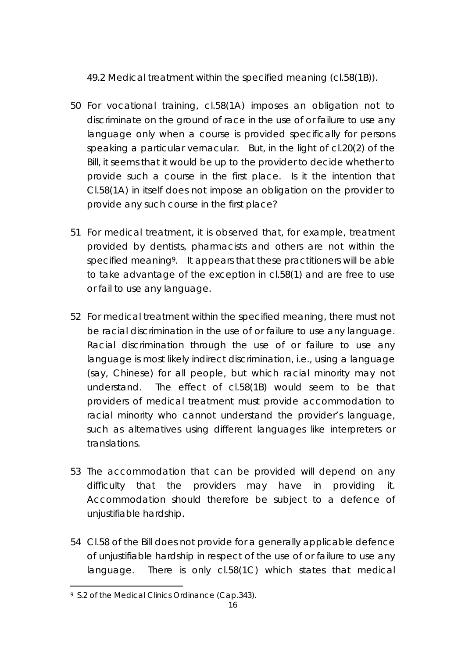49.2 Medical treatment within the specified meaning (cl.58(1B)).

- 50 For vocational training, cl.58(1A) imposes an obligation not to discriminate on the ground of race in the use of or failure to use any language only when a course is provided specifically for persons speaking a particular vernacular. But, in the light of cl.20(2) of the Bill, it seems that it would be up to the provider to decide whether to provide such a course in the first place. Is it the intention that Cl.58(1A) in itself does not impose an obligation on the provider to provide any such course in the first place?
- 51 For medical treatment, it is observed that, for example, treatment provided by dentists, pharmacists and others are not within the specified meaning9. It appears that these practitioners will be able to take advantage of the exception in cl.58(1) and are free to use or fail to use any language.
- 52 For medical treatment within the specified meaning, there must not be racial discrimination in the use of or failure to use any language. Racial discrimination through the use of or failure to use any language is most likely indirect discrimination, i.e., using a language (say, Chinese) for all people, but which racial minority may not understand. The effect of cl.58(1B) would seem to be that providers of medical treatment must provide accommodation to racial minority who cannot understand the provider's language, such as alternatives using different languages like interpreters or translations.
- 53 The accommodation that can be provided will depend on any difficulty that the providers may have in providing it. Accommodation should therefore be subject to a defence of unjustifiable hardship.
- 54 Cl.58 of the Bill does not provide for a generally applicable defence of unjustifiable hardship in respect of the use of or failure to use any language. There is only cl.58(1C) which states that medical

 $\overline{a}$ <sup>9</sup> S.2 of the Medical Clinics Ordinance (Cap.343).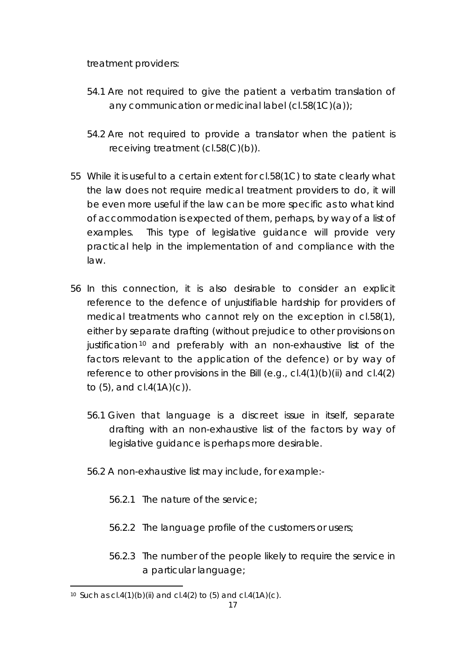treatment providers:

- 54.1 Are not required to give the patient a verbatim translation of any communication or medicinal label (cl.58(1C)(a));
- 54.2 Are not required to provide a translator when the patient is receiving treatment (cl.58(C)(b)).
- 55 While it is useful to a certain extent for cl.58(1C) to state clearly what the law does not require medical treatment providers to do, it will be even more useful if the law can be more specific as to what kind of accommodation is expected of them, perhaps, by way of a list of examples. This type of legislative guidance will provide very practical help in the implementation of and compliance with the law.
- 56 In this connection, it is also desirable to consider an explicit reference to the defence of unjustifiable hardship for providers of medical treatments who cannot rely on the exception in cl.58(1), either by separate drafting (without prejudice to other provisions on justification<sup>10</sup> and preferably with an non-exhaustive list of the factors relevant to the application of the defence) or by way of reference to other provisions in the Bill (e.g.,  $cl.4(1)(b)(ii)$  and  $cl.4(2)$ to  $(5)$ , and  $cI.4(1A)(c)$ .
	- 56.1 Given that language is a discreet issue in itself, separate drafting with an non-exhaustive list of the factors by way of legislative guidance is perhaps more desirable.
	- 56.2 A non-exhaustive list may include, for example:-
		- 56.2.1 The nature of the service;
		- 56.2.2 The language profile of the customers or users;
		- 56.2.3 The number of the people likely to require the service in a particular language;

 $\overline{a}$ 10 Such as  $cl.4(1)(b)(ii)$  and  $cl.4(2)$  to  $(5)$  and  $cl.4(1A)(c)$ .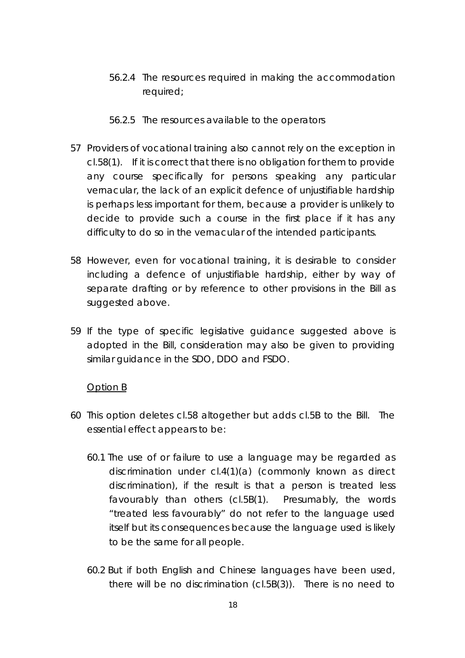- 56.2.4 The resources required in making the accommodation required;
- 56.2.5 The resources available to the operators
- 57 Providers of vocational training also cannot rely on the exception in cl.58(1). If it is correct that there is no obligation for them to provide any course specifically for persons speaking any particular vernacular, the lack of an explicit defence of unjustifiable hardship is perhaps less important for them, because a provider is unlikely to decide to provide such a course in the first place if it has any difficulty to do so in the vernacular of the intended participants.
- 58 However, even for vocational training, it is desirable to consider including a defence of unjustifiable hardship, either by way of separate drafting or by reference to other provisions in the Bill as suggested above.
- 59 If the type of specific legislative guidance suggested above is adopted in the Bill, consideration may also be given to providing similar guidance in the SDO, DDO and FSDO.

#### Option B

- 60 This option deletes cl.58 altogether but adds cl.5B to the Bill. The essential effect appears to be:
	- 60.1 The use of or failure to use a language may be regarded as discrimination under cl.4(1)(a) (commonly known as direct discrimination), if the result is that a person is treated less favourably than others (cl.5B(1). Presumably, the words "treated less favourably" do not refer to the language used itself but its consequences because the language used is likely to be the same for all people.
	- 60.2 But if both English and Chinese languages have been used, there will be no discrimination (cl.5B(3)). There is no need to